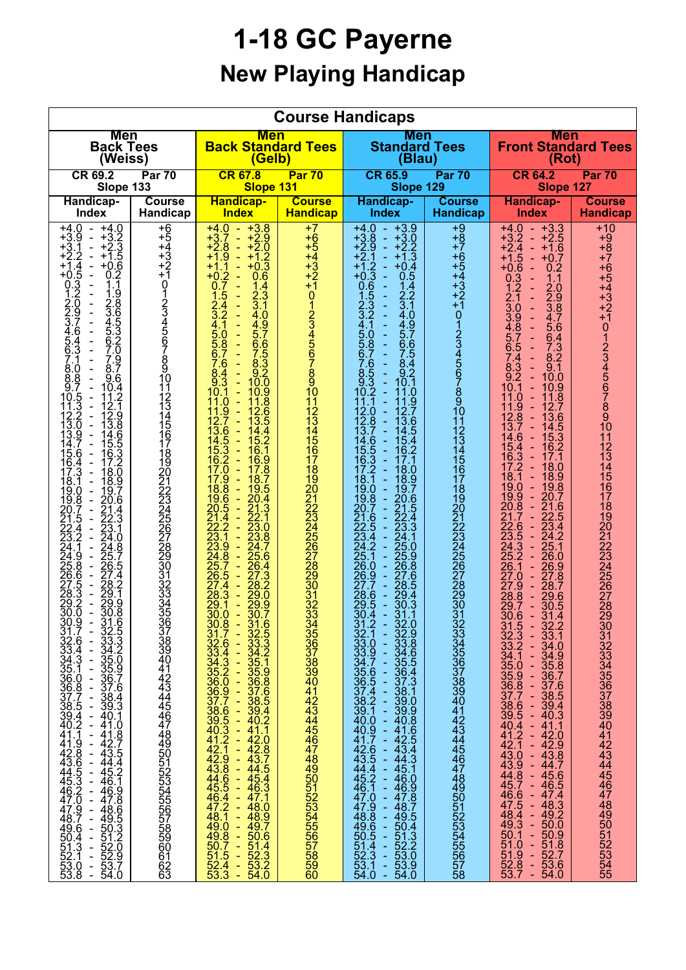## **1-18 GC Payerne New Playing Handicap**

| <b>Course Handicaps</b>                                                                                                                                                                                                                                                                                                                                                                                                                                                                                                                                                                                                                                                                                                                                                                                                                                                                                                                                                                                                                                                                                                                                                  |                                                                                                                                                             |                                                                                                                                                                                                                                                                                                                                                                                                                                                                                                                                                                                                                                                                                                                                                                                                                                                                                                                                                                                                                                                                                                                                                                   |                                                                                                                                                                                                         |                                                                                                                                                                                                                                                                                                                                                                                                                                                                                                                                                                                                                                                                                                                                                                                                                                                                                                                                                                                                                                                                                                                                                                                                                                                                                                                                                                   |                                                                                               |                                                                                                                                                                                                                                                                                                                                                                                                                                                                                                                                                                                                                                                                                                                                                                                                                                                                                                                                                                                                                                                                                                                                                                                                                                                                                                                                                                                                                                                  |                                                                                                                                                                                               |  |  |  |  |  |
|--------------------------------------------------------------------------------------------------------------------------------------------------------------------------------------------------------------------------------------------------------------------------------------------------------------------------------------------------------------------------------------------------------------------------------------------------------------------------------------------------------------------------------------------------------------------------------------------------------------------------------------------------------------------------------------------------------------------------------------------------------------------------------------------------------------------------------------------------------------------------------------------------------------------------------------------------------------------------------------------------------------------------------------------------------------------------------------------------------------------------------------------------------------------------|-------------------------------------------------------------------------------------------------------------------------------------------------------------|-------------------------------------------------------------------------------------------------------------------------------------------------------------------------------------------------------------------------------------------------------------------------------------------------------------------------------------------------------------------------------------------------------------------------------------------------------------------------------------------------------------------------------------------------------------------------------------------------------------------------------------------------------------------------------------------------------------------------------------------------------------------------------------------------------------------------------------------------------------------------------------------------------------------------------------------------------------------------------------------------------------------------------------------------------------------------------------------------------------------------------------------------------------------|---------------------------------------------------------------------------------------------------------------------------------------------------------------------------------------------------------|-------------------------------------------------------------------------------------------------------------------------------------------------------------------------------------------------------------------------------------------------------------------------------------------------------------------------------------------------------------------------------------------------------------------------------------------------------------------------------------------------------------------------------------------------------------------------------------------------------------------------------------------------------------------------------------------------------------------------------------------------------------------------------------------------------------------------------------------------------------------------------------------------------------------------------------------------------------------------------------------------------------------------------------------------------------------------------------------------------------------------------------------------------------------------------------------------------------------------------------------------------------------------------------------------------------------------------------------------------------------|-----------------------------------------------------------------------------------------------|--------------------------------------------------------------------------------------------------------------------------------------------------------------------------------------------------------------------------------------------------------------------------------------------------------------------------------------------------------------------------------------------------------------------------------------------------------------------------------------------------------------------------------------------------------------------------------------------------------------------------------------------------------------------------------------------------------------------------------------------------------------------------------------------------------------------------------------------------------------------------------------------------------------------------------------------------------------------------------------------------------------------------------------------------------------------------------------------------------------------------------------------------------------------------------------------------------------------------------------------------------------------------------------------------------------------------------------------------------------------------------------------------------------------------------------------------|-----------------------------------------------------------------------------------------------------------------------------------------------------------------------------------------------|--|--|--|--|--|
| <b>Men</b>                                                                                                                                                                                                                                                                                                                                                                                                                                                                                                                                                                                                                                                                                                                                                                                                                                                                                                                                                                                                                                                                                                                                                               |                                                                                                                                                             | <b>Men</b>                                                                                                                                                                                                                                                                                                                                                                                                                                                                                                                                                                                                                                                                                                                                                                                                                                                                                                                                                                                                                                                                                                                                                        |                                                                                                                                                                                                         | <b>Men</b>                                                                                                                                                                                                                                                                                                                                                                                                                                                                                                                                                                                                                                                                                                                                                                                                                                                                                                                                                                                                                                                                                                                                                                                                                                                                                                                                                        |                                                                                               | <b>Men</b>                                                                                                                                                                                                                                                                                                                                                                                                                                                                                                                                                                                                                                                                                                                                                                                                                                                                                                                                                                                                                                                                                                                                                                                                                                                                                                                                                                                                                                       |                                                                                                                                                                                               |  |  |  |  |  |
| <b>Back Tees</b>                                                                                                                                                                                                                                                                                                                                                                                                                                                                                                                                                                                                                                                                                                                                                                                                                                                                                                                                                                                                                                                                                                                                                         |                                                                                                                                                             | <b>Back Standard Tees</b>                                                                                                                                                                                                                                                                                                                                                                                                                                                                                                                                                                                                                                                                                                                                                                                                                                                                                                                                                                                                                                                                                                                                         |                                                                                                                                                                                                         | <b>Standard Tees</b>                                                                                                                                                                                                                                                                                                                                                                                                                                                                                                                                                                                                                                                                                                                                                                                                                                                                                                                                                                                                                                                                                                                                                                                                                                                                                                                                              |                                                                                               | <b>Front Standard Tees</b>                                                                                                                                                                                                                                                                                                                                                                                                                                                                                                                                                                                                                                                                                                                                                                                                                                                                                                                                                                                                                                                                                                                                                                                                                                                                                                                                                                                                                       |                                                                                                                                                                                               |  |  |  |  |  |
| (Weiss)                                                                                                                                                                                                                                                                                                                                                                                                                                                                                                                                                                                                                                                                                                                                                                                                                                                                                                                                                                                                                                                                                                                                                                  |                                                                                                                                                             | (Gelb)                                                                                                                                                                                                                                                                                                                                                                                                                                                                                                                                                                                                                                                                                                                                                                                                                                                                                                                                                                                                                                                                                                                                                            |                                                                                                                                                                                                         | (Blau)                                                                                                                                                                                                                                                                                                                                                                                                                                                                                                                                                                                                                                                                                                                                                                                                                                                                                                                                                                                                                                                                                                                                                                                                                                                                                                                                                            |                                                                                               | (Rot)                                                                                                                                                                                                                                                                                                                                                                                                                                                                                                                                                                                                                                                                                                                                                                                                                                                                                                                                                                                                                                                                                                                                                                                                                                                                                                                                                                                                                                            |                                                                                                                                                                                               |  |  |  |  |  |
| CR 69.2                                                                                                                                                                                                                                                                                                                                                                                                                                                                                                                                                                                                                                                                                                                                                                                                                                                                                                                                                                                                                                                                                                                                                                  |                                                                                                                                                             | <b>CR 67.8</b>                                                                                                                                                                                                                                                                                                                                                                                                                                                                                                                                                                                                                                                                                                                                                                                                                                                                                                                                                                                                                                                                                                                                                    |                                                                                                                                                                                                         | <b>CR 65.9</b>                                                                                                                                                                                                                                                                                                                                                                                                                                                                                                                                                                                                                                                                                                                                                                                                                                                                                                                                                                                                                                                                                                                                                                                                                                                                                                                                                    |                                                                                               | <b>CR 64.2</b>                                                                                                                                                                                                                                                                                                                                                                                                                                                                                                                                                                                                                                                                                                                                                                                                                                                                                                                                                                                                                                                                                                                                                                                                                                                                                                                                                                                                                                   |                                                                                                                                                                                               |  |  |  |  |  |
| Par 70                                                                                                                                                                                                                                                                                                                                                                                                                                                                                                                                                                                                                                                                                                                                                                                                                                                                                                                                                                                                                                                                                                                                                                   |                                                                                                                                                             | Par <sub>70</sub>                                                                                                                                                                                                                                                                                                                                                                                                                                                                                                                                                                                                                                                                                                                                                                                                                                                                                                                                                                                                                                                                                                                                                 |                                                                                                                                                                                                         | Par 70                                                                                                                                                                                                                                                                                                                                                                                                                                                                                                                                                                                                                                                                                                                                                                                                                                                                                                                                                                                                                                                                                                                                                                                                                                                                                                                                                            |                                                                                               | <b>Par 70</b>                                                                                                                                                                                                                                                                                                                                                                                                                                                                                                                                                                                                                                                                                                                                                                                                                                                                                                                                                                                                                                                                                                                                                                                                                                                                                                                                                                                                                                    |                                                                                                                                                                                               |  |  |  |  |  |
| Slope 133                                                                                                                                                                                                                                                                                                                                                                                                                                                                                                                                                                                                                                                                                                                                                                                                                                                                                                                                                                                                                                                                                                                                                                |                                                                                                                                                             | Slope 131                                                                                                                                                                                                                                                                                                                                                                                                                                                                                                                                                                                                                                                                                                                                                                                                                                                                                                                                                                                                                                                                                                                                                         |                                                                                                                                                                                                         | Slope 129                                                                                                                                                                                                                                                                                                                                                                                                                                                                                                                                                                                                                                                                                                                                                                                                                                                                                                                                                                                                                                                                                                                                                                                                                                                                                                                                                         |                                                                                               | Slope 127                                                                                                                                                                                                                                                                                                                                                                                                                                                                                                                                                                                                                                                                                                                                                                                                                                                                                                                                                                                                                                                                                                                                                                                                                                                                                                                                                                                                                                        |                                                                                                                                                                                               |  |  |  |  |  |
| Handicap-                                                                                                                                                                                                                                                                                                                                                                                                                                                                                                                                                                                                                                                                                                                                                                                                                                                                                                                                                                                                                                                                                                                                                                | <b>Course</b>                                                                                                                                               | <b>Handicap-</b>                                                                                                                                                                                                                                                                                                                                                                                                                                                                                                                                                                                                                                                                                                                                                                                                                                                                                                                                                                                                                                                                                                                                                  | <b>Course</b>                                                                                                                                                                                           | <b>Handicap-</b>                                                                                                                                                                                                                                                                                                                                                                                                                                                                                                                                                                                                                                                                                                                                                                                                                                                                                                                                                                                                                                                                                                                                                                                                                                                                                                                                                  | <b>Course</b>                                                                                 | <b>Handicap-</b>                                                                                                                                                                                                                                                                                                                                                                                                                                                                                                                                                                                                                                                                                                                                                                                                                                                                                                                                                                                                                                                                                                                                                                                                                                                                                                                                                                                                                                 | <b>Course</b>                                                                                                                                                                                 |  |  |  |  |  |
| <b>Index</b>                                                                                                                                                                                                                                                                                                                                                                                                                                                                                                                                                                                                                                                                                                                                                                                                                                                                                                                                                                                                                                                                                                                                                             | Handicap                                                                                                                                                    | <b>Index</b>                                                                                                                                                                                                                                                                                                                                                                                                                                                                                                                                                                                                                                                                                                                                                                                                                                                                                                                                                                                                                                                                                                                                                      | <b>Handicap</b>                                                                                                                                                                                         | <b>Index</b>                                                                                                                                                                                                                                                                                                                                                                                                                                                                                                                                                                                                                                                                                                                                                                                                                                                                                                                                                                                                                                                                                                                                                                                                                                                                                                                                                      | <b>Handicap</b>                                                                               | <b>Index</b>                                                                                                                                                                                                                                                                                                                                                                                                                                                                                                                                                                                                                                                                                                                                                                                                                                                                                                                                                                                                                                                                                                                                                                                                                                                                                                                                                                                                                                     | <b>Handicap</b>                                                                                                                                                                               |  |  |  |  |  |
| $+4.0$<br>$+4.0$<br>$\sim$<br>$+3.2$<br>$+2.3$<br>$+3.$<br>Ö.<br>$\blacksquare$<br>.1<br>$\overline{a}$<br>+3.<br>$+1.5$<br>$\overline{2}$<br>+2.<br>$+0.6$<br>0.2<br>1.1<br>$\frac{1}{3}$<br>+1<br>$\blacksquare$<br>$\overline{a}$<br>+0.<br>Ō.<br>$\overline{a}$<br>1209<br>2209<br>345.454<br>56.43<br>7.1<br>12865<br>3365<br>4532<br>7.0<br>$\overline{a}$<br>$\blacksquare$<br>$\blacksquare$<br>L,<br>$\blacksquare$<br>$\overline{a}$<br>$\overline{a}$<br>7<br>$\frac{9}{7}$<br>8.0<br>8.8<br>9.7<br>$\frac{8.7}{9.6}$<br>ä,<br>10.4<br>.<br>1<br>53<br>10<br>11<br>12.<br>$12.9$<br>$13.88$<br>$14.5$<br>$15.3$<br>$17.2$<br>$18.0$<br>0<br>$\overline{a}$<br>9<br>6<br>$\overline{a}$<br>6<br>18.9<br>$\overline{a}$<br>7<br>19<br>9<br>.6<br>8<br>$\blacksquare$<br>20<br>$21.4$<br>$22.3$<br>$23.1$<br>$24.0$<br>5<br>4<br>.8<br>.7<br>24<br>25<br>9<br>8<br>$\bar{26}$<br>:5<br>25<br>26<br>6<br>27<br>4<br>28<br>:2<br>27<br>5<br>3<br>28<br>29<br>2<br>О<br>29.<br>30.<br>29.9<br>30.8<br>$\overline{a}$<br>---------------<br>444444456.5320970<br>44444444444444444444445512209770<br>55522209770<br><b>1</b><br>50.4<br>51.3<br>52.1<br>53.0<br>53.8 | $+65$<br>$+43$<br>$+21$<br>$\overline{0}$<br>123456789101121341567<br>189012345678901<br>32<br>33<br>33<br>35<br>333344444444445555555556666668555555566666 | $+4.0$<br>$+3.8$<br>$\sim$<br>$+2.9$<br>$+2.0$<br>$+3.7$<br>$+2.8$<br>$\blacksquare$<br>Ξ<br>.ğ<br>$+1.2$<br>+0.3<br>$+1$<br>+1<br>Ξ<br>.2<br>0.6<br>$+0$<br>$\overline{0}$<br>.7<br>$\frac{1.4}{2.3}$<br>÷<br>$\overline{3}$ .1<br>$\frac{2}{3}$<br>ä,<br>$\frac{4.0}{4.9}$<br>÷<br>4<br>5<br>5<br>6<br>$\frac{5.7}{6.6}$<br>0<br>ä,<br>$\frac{8.3}{9.2}$<br>10.0<br>6<br>ä,<br>8<br>ğ<br>3<br>Ξ<br>10.9<br>11.8<br>.0<br>9<br>.6<br>5<br>3<br>12<br>13<br>$\frac{6}{5}$<br>$\overline{A}$<br>Ξ<br>14<br>5.2<br>Š<br>15<br>$\frac{2}{0}$<br>6.9<br>16<br>17.8<br>17<br>$\frac{9}{8}$<br>Ξ<br>19.5<br>18<br>$\frac{6}{5}$<br>20.4<br>19<br>21.<br>3<br>22.1<br>$\mathcal{A}$<br>$\bar{2}2$<br>2<br>23<br>0.0<br>1<br>23.8<br>23<br>9<br>24<br>$\bar{8}$<br>24<br>25.6<br>26<br>$\mathcal{A}$<br>.5<br>26<br>27<br>$\cdot$ 3<br>28.2<br>$\overline{A}$<br>3<br>$\overline{28}$<br>29<br>.ō<br>29<br>29.9<br>1<br>÷<br>30.0<br>30.7<br>Ξ<br>3333333333333333333333333333333334564325653334566532569765532569765553255533356575533333333333333333<br>$\frac{47.1}{48.0}$<br>$\frac{48.0}{49.7}$<br>$\frac{50.6}{51.4}$<br>$\frac{52.3}{53.2}$<br>$\frac{53.2}{54.0}$ | $+7$<br>$+6$<br>+5<br>$+4$<br>$^{+3}_{+2}$<br>$+1$<br>01234567891011<br>12<br>13<br>14<br>15<br>16<br>17<br>189012234567899013333333<br>$\overline{3}\overline{3}$<br>333333444444444445555555556678890 | $+3.9$<br>$+4.0$<br>$\sim$<br>$+3.8$<br>$+2.9$<br>$+3.0$<br>$+2.2$<br>♦<br>$\omega$<br>$+7.\overline{3}$<br>+2<br>1<br>$+1$<br>$+0.4$<br>$\frac{2}{3}$<br>$+0$<br>0.5<br>$^{1.4}_{2.2}$<br>$\overline{0}$<br>6532<br>$\overline{3.1}$<br>$\frac{2}{3}$<br>$\frac{4.0}{4.9}$<br>4<br>5<br>5<br>6<br>5.7<br>0.<br>8<br>$\frac{6.6}{7.5}$<br>$\begin{array}{c} 8.4 \\ 9.2 \\ 10.1 \end{array}$<br>$\frac{6}{3}$<br>$\frac{8}{9}$<br>2<br>11.0<br>10<br>$\frac{1.9}{2.7}$<br>12<br>0.<br>12<br>13.6<br>8<br> 4.5<br>13<br>$\overline{5.4}$<br>14<br>6<br>15<br>16<br>$\frac{5}{3}$<br>6.2<br>17.1<br>$\mathcal{P}$<br>17<br>18.0<br>18.9<br>19.7<br>.1<br>18<br>19<br>$\Omega$<br>$\bar{8}$<br>20.6<br>19<br>21.5<br>21<br>22<br>23<br>24<br>22.4<br>6.<br>23.3<br>.5<br>Ă<br>24.1<br>$\dot{2}$<br>25.0<br>25.1<br>26.0<br>26.9<br>25.9<br>26.8<br>27.6<br>27.7<br>28.6<br>28.5<br>29.4<br>.6<br>29.5<br>30.3<br>$\blacksquare$<br>30.4<br>31.1<br>31210<br>3233333333333333333333333333333440.9<br>3833333333333333340.9<br>The property of the con-<br>32:0<br>32:09<br>33:08<br>35:54<br>36:43<br>$\frac{1}{\pi}$<br>38.1098<br>39.98.66.1442.54<br>44.3445.1098<br>46.46.46.748.75<br>$\frac{1}{2}$<br>İ<br>4235444565444444444445554354.0<br>ć<br>$\Box$<br>÷,<br>$\frac{1}{2}$<br>Ξ<br>50.4<br>51.3<br>52.2<br>53.0<br>53.9<br>54.0<br>÷,<br>$\frac{1}{2}$<br>Ē | $+9$<br>$+8$<br>$+7$<br>$+654$<br>$+43$<br>$+2$<br>$+1012345678910$<br>1234567890123456789013 | $+4.0$<br>$- +3.3$<br>$+3.2 +2.5$<br>+2.4 - +1.6<br>$+1.5$<br>$\omega$<br>$+0.7$<br>$+0.\overline{6}$<br>0.2<br>÷,<br>3<br>0.<br>1.1<br>$\overline{1.2}$<br>$\frac{2.0}{2.9}$<br>3.8<br>ä,<br>2.1<br>$\overline{3}$ .0<br>3.9<br>$\overline{4.7}$<br>$\overline{4}.\overline{8}$<br>5.6<br>ä,<br>$5.\overline{7}$<br>6.4<br>$\overline{7}$ .3<br>6.5<br>$\Box$<br>$8.\overline{2}$<br>7.4<br>3<br>$\overline{9.1}$<br>8.<br>$\tilde{\mathbf{2}}$<br>9<br>10.0<br>10.9<br>10<br>11.8<br>11.0<br>11.9<br>12.7<br>12.8<br>13.6<br>$\Box$<br>13 <sub>1</sub><br>14.5<br> 4.6<br>15.3<br>16.2<br>$\overline{5}$<br>3<br>16<br>17.2<br>18.0<br>18.1<br>18.9<br>19.8<br>19.0<br>19.9<br>20.7<br>20.8<br>21.6<br>$\omega$<br>22.5<br>6.<br>23.4<br>5<br>23<br>24.2<br>24<br>25.1<br>25.<br>2<br>26.0<br>26.1<br>26.9<br>27.8<br>27.0<br>27.9<br>28.7<br>28.8<br>29.6<br>29.7<br>30.5<br>30.6<br>$\omega$<br>31.4<br>3333333333333344444444444444444555532758987644444444444444444444444444444445555321109827<br>$32.2$<br>$33.1$<br>$34.0$<br>$34.9$<br>$\frac{1}{2}$<br>÷,<br>35.8<br>÷<br>i<br>E<br>36.7<br>37.6<br>38.5<br>39.4<br>÷<br>$\blacksquare$<br>40.3<br>41.1<br>$\blacksquare$<br>÷,<br>42.0<br>42.9<br>Ξ<br>43.8<br>♦<br>44.7<br>÷,<br>45.6<br>÷,<br>$\blacksquare$<br>46.5<br>47.4<br>$\blacksquare$<br>÷<br>48.3<br>49.2<br>$\blacksquare$<br>÷,<br>50.0<br>50.9<br>Ξ<br>$\Box$<br>$\frac{51.8}{52.7}$<br>÷,<br>÷,<br>53.6<br>L,<br>54.0 | $+10$<br>$+9$<br>$+8$<br>+Ž<br>$+6$<br>$+5$<br>$+4$<br>$+3$<br>+2<br>$+1$<br>01234567891011<br> 2<br> 3<br> 4<br> 5<br> 6<br>17<br>18<br>19<br>20<br>22234522222222<br>28<br>$\bar{2}\bar{9}$ |  |  |  |  |  |